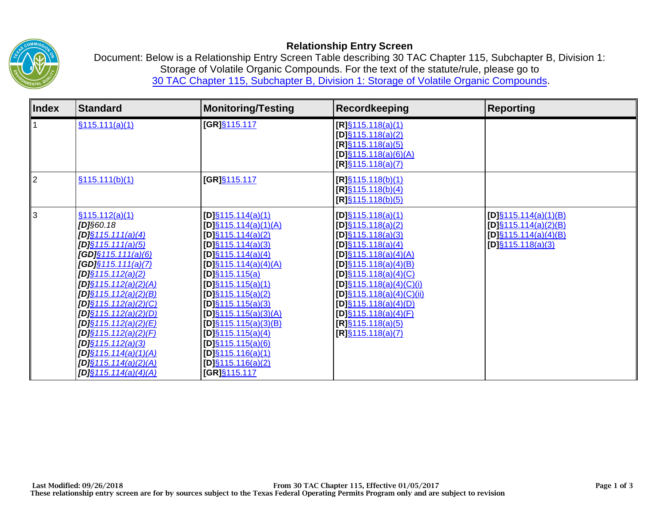

## **Relationship Entry Screen**

Document: Below is a Relationship Entry Screen Table describing 30 TAC Chapter 115, Subchapter B, Division 1: Storage of Volatile Organic Compounds. For the text of the statute/rule, please go to [30 TAC Chapter 115, Subchapter B, Division 1: Storage of Volatile Organic Compounds.](http://texreg.sos.state.tx.us/public/readtac$ext.ViewTAC?tac_view=5&ti=30&pt=1&ch=115&sch=B&div=1&rl=Y) 

| <b>Index</b> | <b>Standard</b>                                                                                                                                                                                                                                                                                                                                                                                                                                           | <b>Monitoring/Testing</b>                                                                                                                                                                                                                                                                                                                                                                                                    | Recordkeeping                                                                                                                                                                                                                                                                                                                                                | <b>Reporting</b>                                                                                          |
|--------------|-----------------------------------------------------------------------------------------------------------------------------------------------------------------------------------------------------------------------------------------------------------------------------------------------------------------------------------------------------------------------------------------------------------------------------------------------------------|------------------------------------------------------------------------------------------------------------------------------------------------------------------------------------------------------------------------------------------------------------------------------------------------------------------------------------------------------------------------------------------------------------------------------|--------------------------------------------------------------------------------------------------------------------------------------------------------------------------------------------------------------------------------------------------------------------------------------------------------------------------------------------------------------|-----------------------------------------------------------------------------------------------------------|
|              | \$115.111(a)(1)                                                                                                                                                                                                                                                                                                                                                                                                                                           | [GR]§115.117                                                                                                                                                                                                                                                                                                                                                                                                                 | $[R]\S 115.118(a)(1)$<br>$[D]\S 115.118(a)(2)$<br>$[R]$ §115.118(a)(5)<br>$[D]\S 115.118(a)(6)(A)$<br>$[R]\S 115.118(a)(7)$                                                                                                                                                                                                                                  |                                                                                                           |
| 2            | \$115.111(b)(1)                                                                                                                                                                                                                                                                                                                                                                                                                                           | [GR]§115.117                                                                                                                                                                                                                                                                                                                                                                                                                 | $[R]\S 115.118(b)(1)$<br>$[R]\S 115.118(b)(4)$<br>$[R]\S115.118(b)(5)$                                                                                                                                                                                                                                                                                       |                                                                                                           |
| 3            | \$115.112(a)(1)<br>$[D]$ §60.18<br>$[D]\S 115.111(a)(4)$<br>$[D]\S 115.111(a)(5)$<br>$[GD] \S 115.111(a)(6)$<br>$[GD] \$ $115.111(a)(7)$<br>$[D]\S 115.112(a)(2)$<br>$[D]\S 115.112(a)(2)(A)$<br>$[D]\S 115.112(a)(2)(B)$<br>$[D]\S 115.112(a)(2)(C)$<br>[D] <u>\$115.112(a)(2)(D)</u><br>$[D]$ §115.112(a)(2)(E)<br>$[D]\S 115.112(a)(2)(F)$<br>$[D]\S 115.112(a)(3)$<br>$[D]\S 115.114(a)(1)(A)$<br>$[D]\S 115.114(a)(2)(A)$<br>[D] $§115.114(a)(4)(A)$ | $[D]$ §115.114(a)(1)<br>$[D]$ §115.114(a)(1)(A)<br>$[D]\S 115.114(a)(2)$<br>$[D]$ §115.114(a)(3)<br>$[D]$ §115.114(a)(4)<br>$[D]\S 115.114(a)(4)(A)$<br>$[D]\S 115.115(a)$<br>$[D]$ §115.115(a)(1)<br>$[D]\S 115.115(a)(2)$<br>$[D]$ §115.115(a)(3)<br>$[D]$ §115.115(a)(3)(A)<br>$[D]\S 115.115(a)(3)(B)$<br>$[D]$ §115.115(a)(4)<br>$[D]\S 115.115(a)(6)$<br>$[D]$ §115.116(a)(1)<br>$[D]\S 115.116(a)(2)$<br>[GR]§115.117 | $[D]\S 115.118(a)(1)$<br>$[D]\S 115.118(a)(2)$<br>$[D]\S 115.118(a)(3)$<br>$[D]\S 115.118(a)(4)$<br>$[D]\S 115.118(a)(4)(A)$<br>$[D]\S 115.118(a)(4)(B)$<br>$[D]\S 115.118(a)(4)(C)$<br>$[D]\S 115.118(a)(4)(C)(i)$<br>$[D]\S 115.118(a)(4)(C)(ii)$<br>$[D]\S 115.118(a)(4)(D)$<br>$[D]$ §115.118(a)(4)(F)<br>$[R]\S 115.118(a)(5)$<br>$[R]\S 115.118(a)(7)$ | $[D]\S 115.114(a)(1)(B)$<br>$[D]\S 115.114(a)(2)(B)$<br>$[D]\S 115.114(a)(4)(B)$<br>$[D]\S 115.118(a)(3)$ |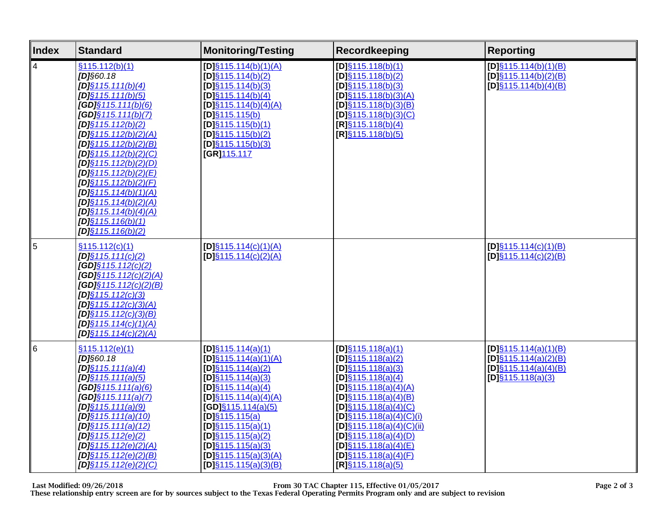| <b>Index</b>    | <b>Standard</b>                                                                                                                                                                                                                                                                                                                                                                                                                                                        | <b>Monitoring/Testing</b>                                                                                                                                                                                                                                                                                                             | <b>Recordkeeping</b>                                                                                                                                                                                                                                                                                                                                         | <b>Reporting</b>                                                                                          |
|-----------------|------------------------------------------------------------------------------------------------------------------------------------------------------------------------------------------------------------------------------------------------------------------------------------------------------------------------------------------------------------------------------------------------------------------------------------------------------------------------|---------------------------------------------------------------------------------------------------------------------------------------------------------------------------------------------------------------------------------------------------------------------------------------------------------------------------------------|--------------------------------------------------------------------------------------------------------------------------------------------------------------------------------------------------------------------------------------------------------------------------------------------------------------------------------------------------------------|-----------------------------------------------------------------------------------------------------------|
| $\vert 4 \vert$ | \$115.112(b)(1)<br>$[D]$ §60.18<br>$[D]$ §115.111(b)(4)<br>$[D]\S 115.111(b)(5)$<br>$[GD] \S 115.111(b)(6)$<br>$[GD] \S 115.111(b)(7)$<br>$IDIS$ 115.112(b)(2)<br>$[D]\S 115.112(b)(2)(A)$<br>$[D]$ §115.112(b)(2)(B)<br>[D] $§115.112(b)(2)(C)$<br>$[D]\S 115.112(b)(2)(D)$<br>[D] $§115.112(b)(2)(E)$<br>$[D]\S 115.112(b)(2)(F)$<br>[D] $§115.114(b)(1)(A)$<br>[D] $§115.114(b)(2)(A)$<br>[D] $§115.114(b)(4)(A)$<br>$[D]\S 115.116(b)(1)$<br>$[D]\S 115.116(b)(2)$ | $[D]$ §115.114(b)(1)(A)<br>$[D]\S 115.114(b)(2)$<br>$[D]$ §115.114(b)(3)<br>$[D]$ §115.114(b)(4)<br>$[D]\S 115.114(b)(4)(A)$<br>$[D]$ §115.115(b)<br>$[D]$ §115.115(b)(1)<br>$[D]$ §115.115(b)(2)<br>$[D]\S 115.115(b)(3)$<br>[GR]115.117                                                                                             | $[D]$ §115.118(b)(1)<br>$[D]\S 115.118(b)(2)$<br>$[D]\S 115.118(b)(3)$<br>$[D]\S 115.118(b)(3)(A)$<br>$[D]\S 115.118(b)(3)(B)$<br>$[D]\S 115.118(b)(3)(C)$<br>[ <b>R</b> ] <sub>§</sub> 115.118(b)(4)<br>$IR$ ] $§115.118(b)(5)$                                                                                                                             | $[D]\S 115.114(b)(1)(B)$<br>$[D]\S 115.114(b)(2)(B)$<br>$[D]\S 115.114(b)(4)(B)$                          |
| 5               | §115.112(c)(1)<br>$[D]\S 115.111(c)(2)$<br>$[GD] \S 115.112(c)(2)$<br>$[GD] \S 1 15.1 12(c)(2)(A)$<br>$[GD] \S 115.112(c)(2)(B)$<br>$[D]\S 115.112(c)(3)$<br>$[D]\S 115.112(c)(3)(A)$<br>$[D]\S 115.112(c)(3)(B)$<br>$[D]\S 115.114(c)(1)(A)$<br>$IDIS$ 115.114(c)(2)(A)                                                                                                                                                                                               | $[D]\S 115.114(c)(1)(A)$<br>$[D]\S 115.114(c)(2)(A)$                                                                                                                                                                                                                                                                                  |                                                                                                                                                                                                                                                                                                                                                              | $[D]\S 115.114(c)(1)(B)$<br>$[D]\S 115.114(c)(2)(B)$                                                      |
| $\overline{6}$  | \$115.112(e)(1)<br>$[D]$ §60.18<br>$[D]$ §115.111(a)(4)<br>$[D]\S 115.111(a)(5)$<br>$[GD]$ §115.111(a)(6)<br>$[GD] \S 115.111(a)(7)$<br>$[D]\S 115.111(a)(9)$<br>$[D]\S 115.111(a)(10)$<br>$[D]\S 115.111(a)(12)$<br>$[D]$ §115.112(e)(2)<br>$[D]\S 115.112(e)(2)(A)$<br>$[D]$ §115.112(e)(2)(B)<br>$[D]\S 115.112(e)(2)(C)$                                                                                                                                           | $[D]\S 115.114(a)(1)$<br>$[D]\S 115.114(a)(1)(A)$<br>$[D]$ §115.114(a)(2)<br>$[D]$ §115.114(a)(3)<br>$[D]$ §115.114(a)(4)<br>$[D]$ §115.114(a)(4)(A)<br>$[GD]$ §115.114(a)(5)<br>$[D]\S 115.115(a)$<br>$[D]\S 115.115(a)(1)$<br>$[D]\S 115.115(a)(2)$<br>$[D]$ §115.115(a)(3)<br>$[D]\S 115.115(a)(3)(A)$<br>$[D]\S 115.115(a)(3)(B)$ | $[D]\S 115.118(a)(1)$<br>$[D]\S 115.118(a)(2)$<br>$[D]\S 115.118(a)(3)$<br>$[D]$ §115.118(a)(4)<br>$[D]\S 115.118(a)(4)(A)$<br>$[D]\S 115.118(a)(4)(B)$<br>$[D]$ §115.118(a)(4)(C)<br>$[D]$ §115.118(a)(4)(C)(i)<br>$[D]\S 115.118(a)(4)(C)(ii)$<br>$[D]\S 115.118(a)(4)(D)$<br>$[D]\S 115.118(a)(4)(E)$<br>$[D]\S 115.118(a)(4)(F)$<br>$[R]$ §115.118(a)(5) | $[D]\S 115.114(a)(1)(B)$<br>$[D]\S 115.114(a)(2)(B)$<br>$[D]\S 115.114(a)(4)(B)$<br>$[D]\S 115.118(a)(3)$ |